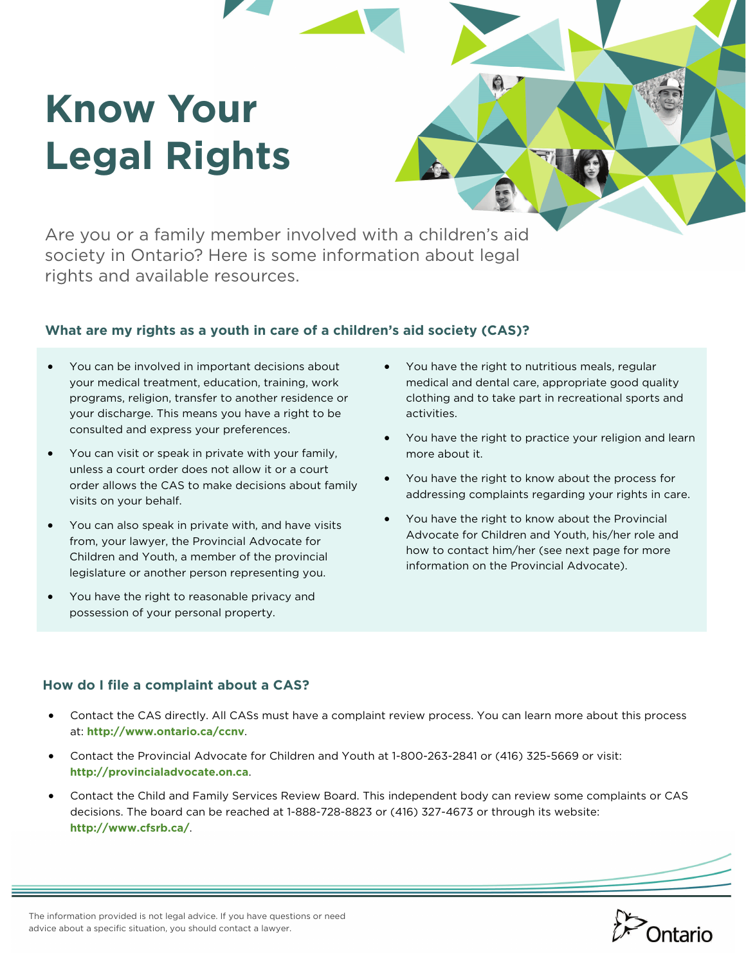# **Know Your Legal Rights**

Are you or a family member involved with a children's aid society in Ontario? Here is some information about legal rights and available resources.

#### **What are my rights as a youth in care of a children's aid society (CAS)?**

- You can be involved in important decisions about your medical treatment, education, training, work programs, religion, transfer to another residence or your discharge. This means you have a right to be consulted and express your preferences.
- You can visit or speak in private with your family, unless a court order does not allow it or a court order allows the CAS to make decisions about family visits on your behalf.
- You can also speak in private with, and have visits from, your lawyer, the Provincial Advocate for Children and Youth, a member of the provincial legislature or another person representing you.
- You have the right to reasonable privacy and possession of your personal property.
- You have the right to nutritious meals, regular medical and dental care, appropriate good quality clothing and to take part in recreational sports and activities.
- You have the right to practice your religion and learn more about it.
- You have the right to know about the process for addressing complaints regarding your rights in care.
- You have the right to know about the Provincial Advocate for Children and Youth, his/her role and how to contact him/her (see next page for more information on the Provincial Advocate).

#### **How do I file a complaint about a CAS?**

- Contact the CAS directly. All CASs must have a complaint review process. You can learn more about this process at: **http://www.ontario.ca/ccnv**.
- Contact the Provincial Advocate for Children and Youth at 1-800-263-2841 or (416) 325-5669 or visit: **http://provincialadvocate.on.ca**.
- Contact the Child and Family Services Review Board. This independent body can review some complaints or CAS decisions. The board can be reached at 1-888-728-8823 or (416) 327-4673 or through its website: **http://www.cfsrb.ca/**.